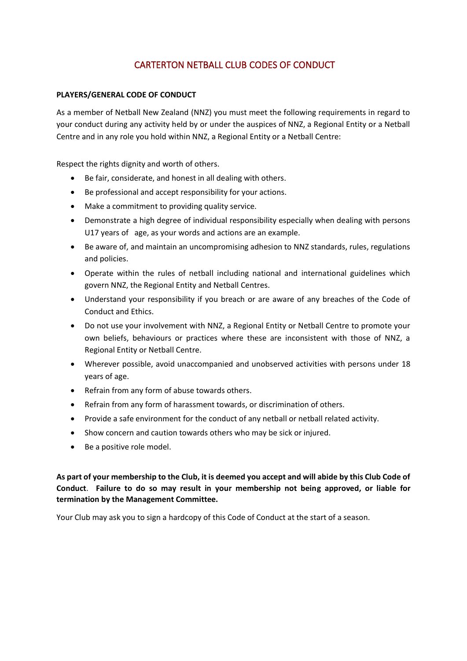# CARTERTON NETBALL CLUB CODES OF CONDUCT

### **PLAYERS/GENERAL CODE OF CONDUCT**

As a member of Netball New Zealand (NNZ) you must meet the following requirements in regard to your conduct during any activity held by or under the auspices of NNZ, a Regional Entity or a Netball Centre and in any role you hold within NNZ, a Regional Entity or a Netball Centre:

Respect the rights dignity and worth of others.

- Be fair, considerate, and honest in all dealing with others.
- Be professional and accept responsibility for your actions.
- Make a commitment to providing quality service.
- Demonstrate a high degree of individual responsibility especially when dealing with persons U17 years of age, as your words and actions are an example.
- Be aware of, and maintain an uncompromising adhesion to NNZ standards, rules, regulations and policies.
- Operate within the rules of netball including national and international guidelines which govern NNZ, the Regional Entity and Netball Centres.
- Understand your responsibility if you breach or are aware of any breaches of the Code of Conduct and Ethics.
- Do not use your involvement with NNZ, a Regional Entity or Netball Centre to promote your own beliefs, behaviours or practices where these are inconsistent with those of NNZ, a Regional Entity or Netball Centre.
- Wherever possible, avoid unaccompanied and unobserved activities with persons under 18 years of age.
- Refrain from any form of abuse towards others.
- Refrain from any form of harassment towards, or discrimination of others.
- Provide a safe environment for the conduct of any netball or netball related activity.
- Show concern and caution towards others who may be sick or injured.
- Be a positive role model.

## **As part of your membership to the Club, it is deemed you accept and will abide by this Club Code of Conduct**. **Failure to do so may result in your membership not being approved, or liable for termination by the Management Committee.**

Your Club may ask you to sign a hardcopy of this Code of Conduct at the start of a season.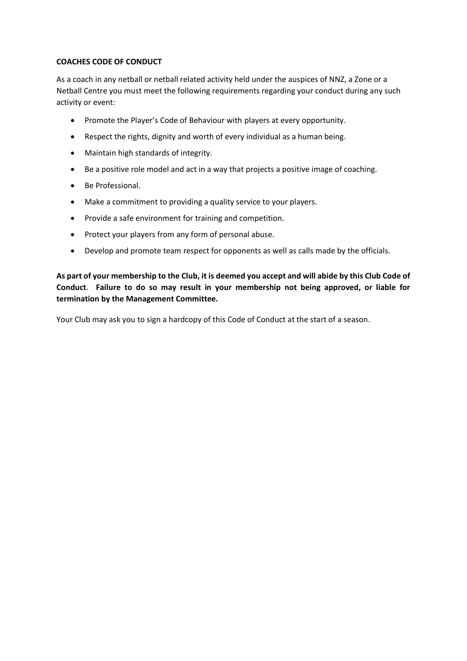#### **COACHES CODE OF CONDUCT**

As a coach in any netball or netball related activity held under the auspices of NNZ, a Zone or a Netball Centre you must meet the following requirements regarding your conduct during any such activity or event:

- Promote the Player's Code of Behaviour with players at every opportunity.
- Respect the rights, dignity and worth of every individual as a human being.
- Maintain high standards of integrity.
- Be a positive role model and act in a way that projects a positive image of coaching.
- Be Professional.
- Make a commitment to providing a quality service to your players.
- Provide a safe environment for training and competition.
- Protect your players from any form of personal abuse.
- Develop and promote team respect for opponents as well as calls made by the officials.

**As part of your membership to the Club, it is deemed you accept and will abide by this Club Code of Conduct**. **Failure to do so may result in your membership not being approved, or liable for termination by the Management Committee.**

Your Club may ask you to sign a hardcopy of this Code of Conduct at the start of a season.